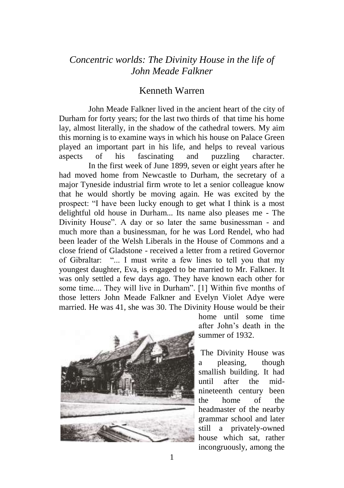## *Concentric worlds: The Divinity House in the life of John Meade Falkner*

## Kenneth Warren

John Meade Falkner lived in the ancient heart of the city of Durham for forty years; for the last two thirds of that time his home lay, almost literally, in the shadow of the cathedral towers. My aim this morning is to examine ways in which his house on Palace Green played an important part in his life, and helps to reveal various aspects of his fascinating and puzzling character. In the first week of June 1899, seven or eight years after he had moved home from Newcastle to Durham, the secretary of a major Tyneside industrial firm wrote to let a senior colleague know that he would shortly be moving again. He was excited by the prospect: "I have been lucky enough to get what I think is a most delightful old house in Durham... Its name also pleases me - The Divinity House". A day or so later the same businessman - and much more than a businessman, for he was Lord Rendel, who had been leader of the Welsh Liberals in the House of Commons and a close friend of Gladstone - received a letter from a retired Governor of Gibraltar: "... I must write a few lines to tell you that my youngest daughter, Eva, is engaged to be married to Mr. Falkner. It was only settled a few days ago. They have known each other for some time.... They will live in Durham". [1] Within five months of those letters John Meade Falkner and Evelyn Violet Adye were married. He was 41, she was 30. The Divinity House would be their



home until some time after John's death in the summer of 1932.

The Divinity House was a pleasing, though smallish building. It had until after the midnineteenth century been the home of the headmaster of the nearby grammar school and later still a privately-owned house which sat, rather incongruously, among the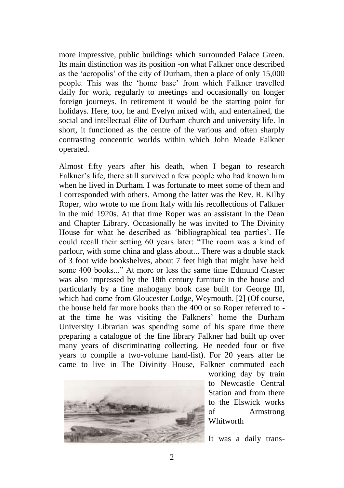more impressive, public buildings which surrounded Palace Green. Its main distinction was its position -on what Falkner once described as the 'acropolis' of the city of Durham, then a place of only 15,000 people. This was the 'home base' from which Falkner travelled daily for work, regularly to meetings and occasionally on longer foreign journeys. In retirement it would be the starting point for holidays. Here, too, he and Evelyn mixed with, and entertained, the social and intellectual élite of Durham church and university life. In short, it functioned as the centre of the various and often sharply contrasting concentric worlds within which John Meade Falkner operated.

Almost fifty years after his death, when I began to research Falkner's life, there still survived a few people who had known him when he lived in Durham. I was fortunate to meet some of them and I corresponded with others. Among the latter was the Rev. R. Kilby Roper, who wrote to me from Italy with his recollections of Falkner in the mid 1920s. At that time Roper was an assistant in the Dean and Chapter Library. Occasionally he was invited to The Divinity House for what he described as 'bibliographical tea parties'. He could recall their setting 60 years later: "The room was a kind of parlour, with some china and glass about... There was a double stack of 3 foot wide bookshelves, about 7 feet high that might have held some 400 books..." At more or less the same time Edmund Craster was also impressed by the 18th century furniture in the house and particularly by a fine mahogany book case built for George III, which had come from Gloucester Lodge, Weymouth. [2] (Of course, the house held far more books than the 400 or so Roper referred to at the time he was visiting the Falkners' home the Durham University Librarian was spending some of his spare time there preparing a catalogue of the fine library Falkner had built up over many years of discriminating collecting. He needed four or five years to compile a two-volume hand-list). For 20 years after he came to live in The Divinity House, Falkner commuted each



working day by train to Newcastle Central Station and from there to the Elswick works of Armstrong Whitworth

It was a daily trans-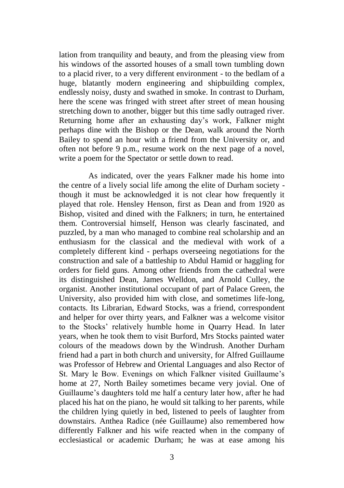lation from tranquility and beauty, and from the pleasing view from his windows of the assorted houses of a small town tumbling down to a placid river, to a very different environment - to the bedlam of a huge, blatantly modern engineering and shipbuilding complex, endlessly noisy, dusty and swathed in smoke. In contrast to Durham, here the scene was fringed with street after street of mean housing stretching down to another, bigger but this time sadly outraged river. Returning home after an exhausting day's work, Falkner might perhaps dine with the Bishop or the Dean, walk around the North Bailey to spend an hour with a friend from the University or, and often not before 9 p.m., resume work on the next page of a novel, write a poem for the Spectator or settle down to read.

 As indicated, over the years Falkner made his home into the centre of a lively social life among the elite of Durham society though it must be acknowledged it is not clear how frequently it played that role. Hensley Henson, first as Dean and from 1920 as Bishop, visited and dined with the Falkners; in turn, he entertained them. Controversial himself, Henson was clearly fascinated, and puzzled, by a man who managed to combine real scholarship and an enthusiasm for the classical and the medieval with work of a completely different kind - perhaps overseeing negotiations for the construction and sale of a battleship to Abdul Hamid or haggling for orders for field guns. Among other friends from the cathedral were its distinguished Dean, James Welldon, and Arnold Culley, the organist. Another institutional occupant of part of Palace Green, the University, also provided him with close, and sometimes life-long, contacts. Its Librarian, Edward Stocks, was a friend, correspondent and helper for over thirty years, and Falkner was a welcome visitor to the Stocks' relatively humble home in Quarry Head. In later years, when he took them to visit Burford, Mrs Stocks painted water colours of the meadows down by the Windrush. Another Durham friend had a part in both church and university, for Alfred Guillaume was Professor of Hebrew and Oriental Languages and also Rector of St. Mary le Bow. Evenings on which Falkner visited Guillaume's home at 27, North Bailey sometimes became very jovial. One of Guillaume's daughters told me half a century later how, after he had placed his hat on the piano, he would sit talking to her parents, while the children lying quietly in bed, listened to peels of laughter from downstairs. Anthea Radice (née Guillaume) also remembered how differently Falkner and his wife reacted when in the company of ecclesiastical or academic Durham; he was at ease among his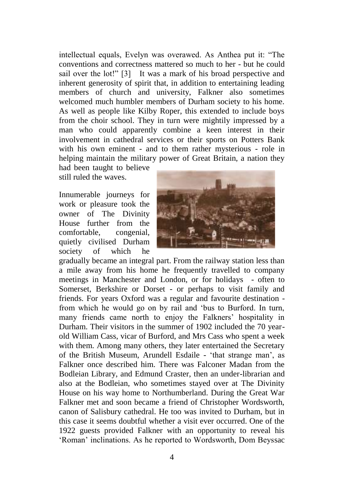intellectual equals, Evelyn was overawed. As Anthea put it: "The conventions and correctness mattered so much to her - but he could sail over the lot!" [3] It was a mark of his broad perspective and inherent generosity of spirit that, in addition to entertaining leading members of church and university, Falkner also sometimes welcomed much humbler members of Durham society to his home. As well as people like Kilby Roper, this extended to include boys from the choir school. They in turn were mightily impressed by a man who could apparently combine a keen interest in their involvement in cathedral services or their sports on Potters Bank with his own eminent - and to them rather mysterious - role in helping maintain the military power of Great Britain, a nation they

had been taught to believe still ruled the waves.

Innumerable journeys for work or pleasure took the owner of The Divinity House further from the comfortable, congenial, quietly civilised Durham society of which he



gradually became an integral part. From the railway station less than a mile away from his home he frequently travelled to company meetings in Manchester and London, or for holidays - often to Somerset, Berkshire or Dorset - or perhaps to visit family and friends. For years Oxford was a regular and favourite destination from which he would go on by rail and 'bus to Burford. In turn, many friends came north to enjoy the Falkners' hospitality in Durham. Their visitors in the summer of 1902 included the 70 yearold William Cass, vicar of Burford, and Mrs Cass who spent a week with them. Among many others, they later entertained the Secretary of the British Museum, Arundell Esdaile - 'that strange man', as Falkner once described him. There was Falconer Madan from the Bodleian Library, and Edmund Craster, then an under-librarian and also at the Bodleian, who sometimes stayed over at The Divinity House on his way home to Northumberland. During the Great War Falkner met and soon became a friend of Christopher Wordsworth, canon of Salisbury cathedral. He too was invited to Durham, but in this case it seems doubtful whether a visit ever occurred. One of the 1922 guests provided Falkner with an opportunity to reveal his 'Roman' inclinations. As he reported to Wordsworth, Dom Beyssac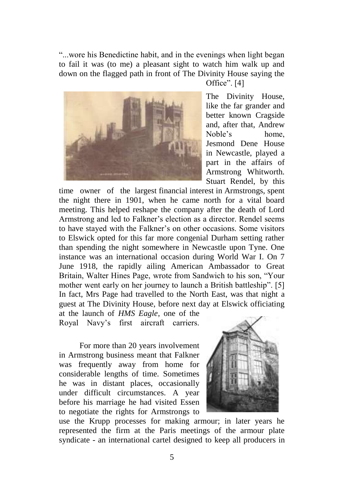"...wore his Benedictine habit, and in the evenings when light began to fail it was (to me) a pleasant sight to watch him walk up and down on the flagged path in front of The Divinity House saying the



Office". [4]

The Divinity House, like the far grander and better known Cragside and, after that, Andrew Noble's home, Jesmond Dene House in Newcastle, played a part in the affairs of Armstrong Whitworth. Stuart Rendel, by this

time owner of the largest financial interest in Armstrongs, spent the night there in 1901, when he came north for a vital board meeting. This helped reshape the company after the death of Lord Armstrong and led to Falkner's election as a director. Rendel seems to have stayed with the Falkner's on other occasions. Some visitors to Elswick opted for this far more congenial Durham setting rather than spending the night somewhere in Newcastle upon Tyne. One instance was an international occasion during World War I. On 7 June 1918, the rapidly ailing American Ambassador to Great Britain, Walter Hines Page, wrote from Sandwich to his son, "Your mother went early on her journey to launch a British battleship". [5] In fact, Mrs Page had travelled to the North East, was that night a guest at The Divinity House, before next day at Elswick officiating at the launch of *HMS Eagle*, one of the

Royal Navy's first aircraft carriers.

 For more than 20 years involvement in Armstrong business meant that Falkner was frequently away from home for considerable lengths of time. Sometimes he was in distant places, occasionally under difficult circumstances. A year before his marriage he had visited Essen to negotiate the rights for Armstrongs to



use the Krupp processes for making armour; in later years he represented the firm at the Paris meetings of the armour plate syndicate - an international cartel designed to keep all producers in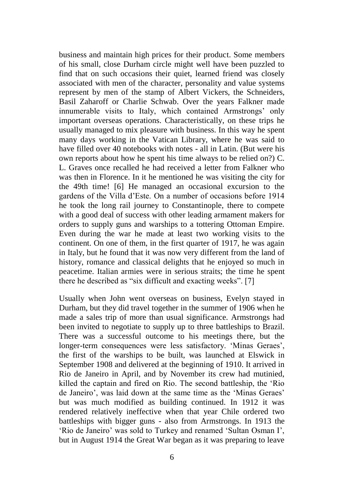business and maintain high prices for their product. Some members of his small, close Durham circle might well have been puzzled to find that on such occasions their quiet, learned friend was closely associated with men of the character, personality and value systems represent by men of the stamp of Albert Vickers, the Schneiders, Basil Zaharoff or Charlie Schwab. Over the years Falkner made innumerable visits to Italy, which contained Armstrongs' only important overseas operations. Characteristically, on these trips he usually managed to mix pleasure with business. In this way he spent many days working in the Vatican Library, where he was said to have filled over 40 notebooks with notes - all in Latin. (But were his own reports about how he spent his time always to be relied on?) C. L. Graves once recalled he had received a letter from Falkner who was then in Florence. In it he mentioned he was visiting the city for the 49th time! [6] He managed an occasional excursion to the gardens of the Villa d'Este. On a number of occasions before 1914 he took the long rail journey to Constantinople, there to compete with a good deal of success with other leading armament makers for orders to supply guns and warships to a tottering Ottoman Empire. Even during the war he made at least two working visits to the continent. On one of them, in the first quarter of 1917, he was again in Italy, but he found that it was now very different from the land of history, romance and classical delights that he enjoyed so much in peacetime. Italian armies were in serious straits; the time he spent there he described as "six difficult and exacting weeks". [7]

Usually when John went overseas on business, Evelyn stayed in Durham, but they did travel together in the summer of 1906 when he made a sales trip of more than usual significance. Armstrongs had been invited to negotiate to supply up to three battleships to Brazil. There was a successful outcome to his meetings there, but the longer-term consequences were less satisfactory. 'Minas Geraes', the first of the warships to be built, was launched at Elswick in September 1908 and delivered at the beginning of 1910. It arrived in Rio de Janeiro in April, and by November its crew had mutinied, killed the captain and fired on Rio. The second battleship, the 'Rio de Janeiro', was laid down at the same time as the 'Minas Geraes' but was much modified as building continued. In 1912 it was rendered relatively ineffective when that year Chile ordered two battleships with bigger guns - also from Armstrongs. In 1913 the 'Rio de Janeiro' was sold to Turkey and renamed 'Sultan Osman I', but in August 1914 the Great War began as it was preparing to leave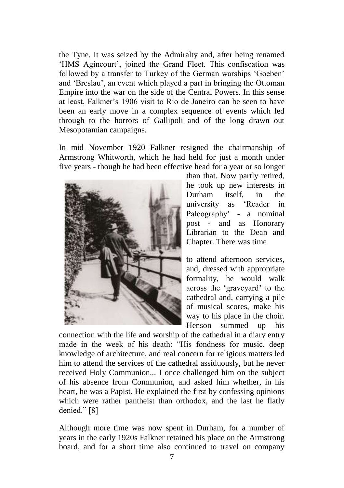the Tyne. It was seized by the Admiralty and, after being renamed 'HMS Agincourt', joined the Grand Fleet. This confiscation was followed by a transfer to Turkey of the German warships 'Goeben' and 'Breslau', an event which played a part in bringing the Ottoman Empire into the war on the side of the Central Powers. In this sense at least, Falkner's 1906 visit to Rio de Janeiro can be seen to have been an early move in a complex sequence of events which led through to the horrors of Gallipoli and of the long drawn out Mesopotamian campaigns.

In mid November 1920 Falkner resigned the chairmanship of Armstrong Whitworth, which he had held for just a month under five years - though he had been effective head for a year or so longer



than that. Now partly retired, he took up new interests in Durham itself in the university as 'Reader in Paleography' - a nominal post - and as Honorary Librarian to the Dean and Chapter. There was time

to attend afternoon services, and, dressed with appropriate formality, he would walk across the 'graveyard' to the cathedral and, carrying a pile of musical scores, make his way to his place in the choir. Henson summed up his

connection with the life and worship of the cathedral in a diary entry made in the week of his death: "His fondness for music, deep knowledge of architecture, and real concern for religious matters led him to attend the services of the cathedral assiduously, but he never received Holy Communion... I once challenged him on the subject of his absence from Communion, and asked him whether, in his heart, he was a Papist. He explained the first by confessing opinions which were rather pantheist than orthodox, and the last he flatly denied." [8]

Although more time was now spent in Durham, for a number of years in the early 1920s Falkner retained his place on the Armstrong board, and for a short time also continued to travel on company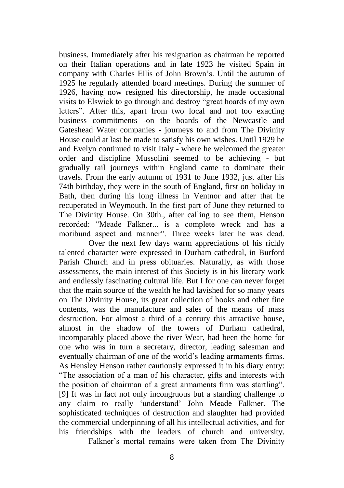business. Immediately after his resignation as chairman he reported on their Italian operations and in late 1923 he visited Spain in company with Charles Ellis of John Brown's. Until the autumn of 1925 he regularly attended board meetings. During the summer of 1926, having now resigned his directorship, he made occasional visits to Elswick to go through and destroy "great hoards of my own letters". After this, apart from two local and not too exacting business commitments -on the boards of the Newcastle and Gateshead Water companies - journeys to and from The Divinity House could at last be made to satisfy his own wishes. Until 1929 he and Evelyn continued to visit Italy - where he welcomed the greater order and discipline Mussolini seemed to be achieving - but gradually rail journeys within England came to dominate their travels. From the early autumn of 1931 to June 1932, just after his 74th birthday, they were in the south of England, first on holiday in Bath, then during his long illness in Ventnor and after that he recuperated in Weymouth. In the first part of June they returned to The Divinity House. On 30th., after calling to see them, Henson recorded: "Meade Falkner... is a complete wreck and has a moribund aspect and manner". Three weeks later he was dead.

Over the next few days warm appreciations of his richly talented character were expressed in Durham cathedral, in Burford Parish Church and in press obituaries. Naturally, as with those assessments, the main interest of this Society is in his literary work and endlessly fascinating cultural life. But I for one can never forget that the main source of the wealth he had lavished for so many years on The Divinity House, its great collection of books and other fine contents, was the manufacture and sales of the means of mass destruction. For almost a third of a century this attractive house, almost in the shadow of the towers of Durham cathedral, incomparably placed above the river Wear, had been the home for one who was in turn a secretary, director, leading salesman and eventually chairman of one of the world's leading armaments firms. As Hensley Henson rather cautiously expressed it in his diary entry: "The association of a man of his character, gifts and interests with the position of chairman of a great armaments firm was startling". [9] It was in fact not only incongruous but a standing challenge to any claim to really 'understand' John Meade Falkner. The sophisticated techniques of destruction and slaughter had provided the commercial underpinning of all his intellectual activities, and for his friendships with the leaders of church and university. Falkner's mortal remains were taken from The Divinity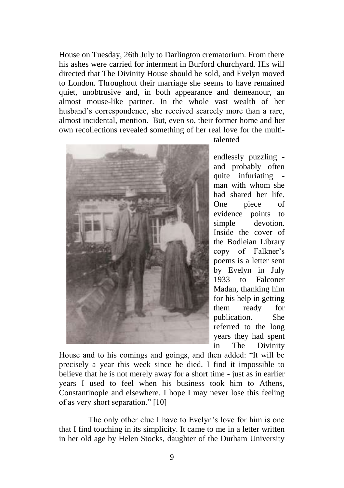House on Tuesday, 26th July to Darlington crematorium. From there his ashes were carried for interment in Burford churchyard. His will directed that The Divinity House should be sold, and Evelyn moved to London. Throughout their marriage she seems to have remained quiet, unobtrusive and, in both appearance and demeanour, an almost mouse-like partner. In the whole vast wealth of her husband's correspondence, she received scarcely more than a rare, almost incidental, mention. But, even so, their former home and her own recollections revealed something of her real love for the multi-



talented

endlessly puzzling and probably often quite infuriating man with whom she had shared her life. One piece of evidence points to simple devotion. Inside the cover of the Bodleian Library copy of Falkner's poems is a letter sent by Evelyn in July 1933 to Falconer Madan, thanking him for his help in getting them ready for publication. She referred to the long years they had spent in The Divinity

House and to his comings and goings, and then added: "It will be precisely a year this week since he died. I find it impossible to believe that he is not merely away for a short time - just as in earlier years I used to feel when his business took him to Athens, Constantinople and elsewhere. I hope I may never lose this feeling of as very short separation." [10]

 The only other clue I have to Evelyn's love for him is one that I find touching in its simplicity. It came to me in a letter written in her old age by Helen Stocks, daughter of the Durham University